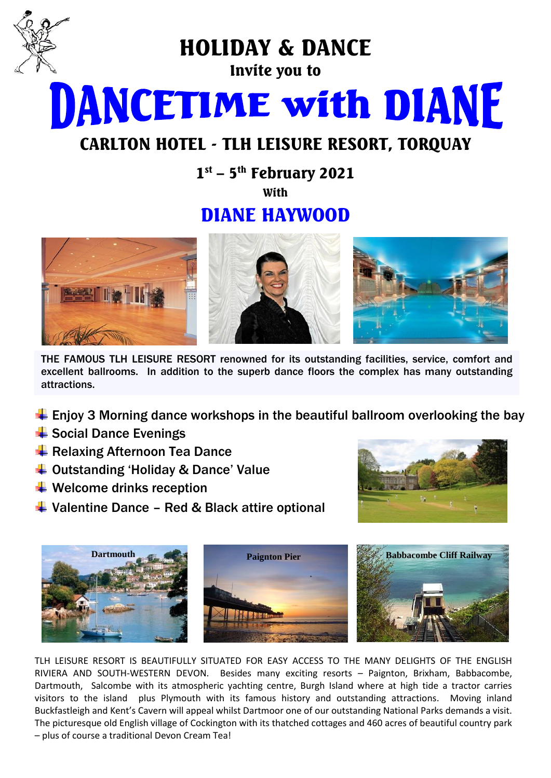

HOLIDAY & DANCE

Invite you to

**DANCETIME with DIANE** 

# CARLTON HOTEL - TLH LEISURE RESORT, TORQUAY

 $1<sup>st</sup>$  – 5<sup>th</sup> February 2021

**With** 

# DIANE HAYWOOD



THE FAMOUS TLH LEISURE RESORT renowned for its outstanding facilities, service, comfort and excellent ballrooms. In addition to the superb dance floors the complex has many outstanding attractions.

- $\ddot{\bullet}$  Enjoy 3 Morning dance workshops in the beautiful ballroom overlooking the bay
- $\frac{1}{2}$  Social Dance Evenings
- **E** Relaxing Afternoon Tea Dance
- $\triangleq$  Outstanding 'Holiday & Dance' Value
- $\bigstar$  Welcome drinks reception
- $\downarrow$  Valentine Dance Red & Black attire optional





TLH LEISURE RESORT IS BEAUTIFULLY SITUATED FOR EASY ACCESS TO THE MANY DELIGHTS OF THE ENGLISH RIVIERA AND SOUTH-WESTERN DEVON. Besides many exciting resorts – Paignton, Brixham, Babbacombe, Dartmouth, Salcombe with its atmospheric yachting centre, Burgh Island where at high tide a tractor carries visitors to the island plus Plymouth with its famous history and outstanding attractions. Moving inland Buckfastleigh and Kent's Cavern will appeal whilst Dartmoor one of our outstanding National Parks demands a visit. The picturesque old English village of Cockington with its thatched cottages and 460 acres of beautiful country park – plus of course a traditional Devon Cream Tea!